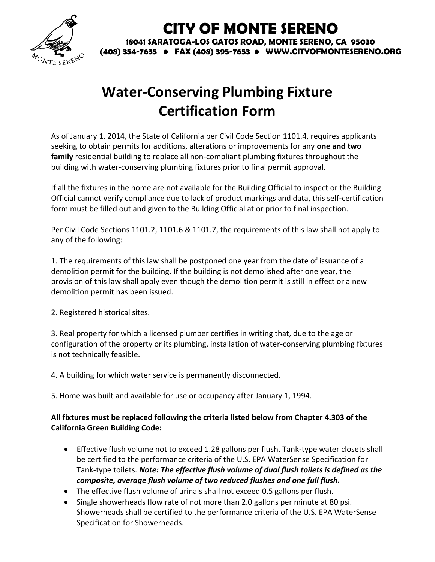

## **CITY OF MONTE SERENO**

**18041 SARATOGA-LOS GATOS ROAD, MONTE SERENO, CA 95030 (408) 354-7635 • FAX (408) 395-7653 • WWW.CITYOFMONTESERENO.ORG**

## **Water-Conserving Plumbing Fixture Certification Form**

As of January 1, 2014, the State of California per Civil Code Section 1101.4, requires applicants seeking to obtain permits for additions, alterations or improvements for any **one and two family** residential building to replace all non-compliant plumbing fixtures throughout the building with water-conserving plumbing fixtures prior to final permit approval.

If all the fixtures in the home are not available for the Building Official to inspect or the Building Official cannot verify compliance due to lack of product markings and data, this self-certification form must be filled out and given to the Building Official at or prior to final inspection.

Per Civil Code Sections 1101.2, 1101.6 & 1101.7, the requirements of this law shall not apply to any of the following:

1. The requirements of this law shall be postponed one year from the date of issuance of a demolition permit for the building. If the building is not demolished after one year, the provision of this law shall apply even though the demolition permit is still in effect or a new demolition permit has been issued.

2. Registered historical sites.

3. Real property for which a licensed plumber certifies in writing that, due to the age or configuration of the property or its plumbing, installation of water-conserving plumbing fixtures is not technically feasible.

4. A building for which water service is permanently disconnected.

5. Home was built and available for use or occupancy after January 1, 1994.

## **All fixtures must be replaced following the criteria listed below from Chapter 4.303 of the California Green Building Code:**

- Effective flush volume not to exceed 1.28 gallons per flush. Tank-type water closets shall be certified to the performance criteria of the U.S. EPA WaterSense Specification for Tank-type toilets. *Note: The effective flush volume of dual flush toilets is defined as the composite, average flush volume of two reduced flushes and one full flush.*
- The effective flush volume of urinals shall not exceed 0.5 gallons per flush.
- Single showerheads flow rate of not more than 2.0 gallons per minute at 80 psi. Showerheads shall be certified to the performance criteria of the U.S. EPA WaterSense Specification for Showerheads.